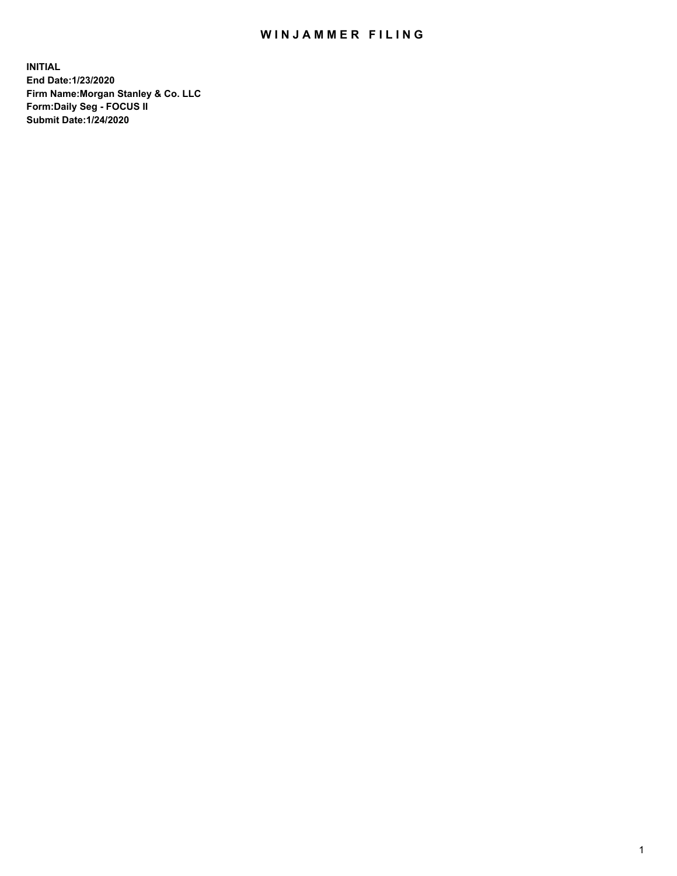## WIN JAMMER FILING

**INITIAL End Date:1/23/2020 Firm Name:Morgan Stanley & Co. LLC Form:Daily Seg - FOCUS II Submit Date:1/24/2020**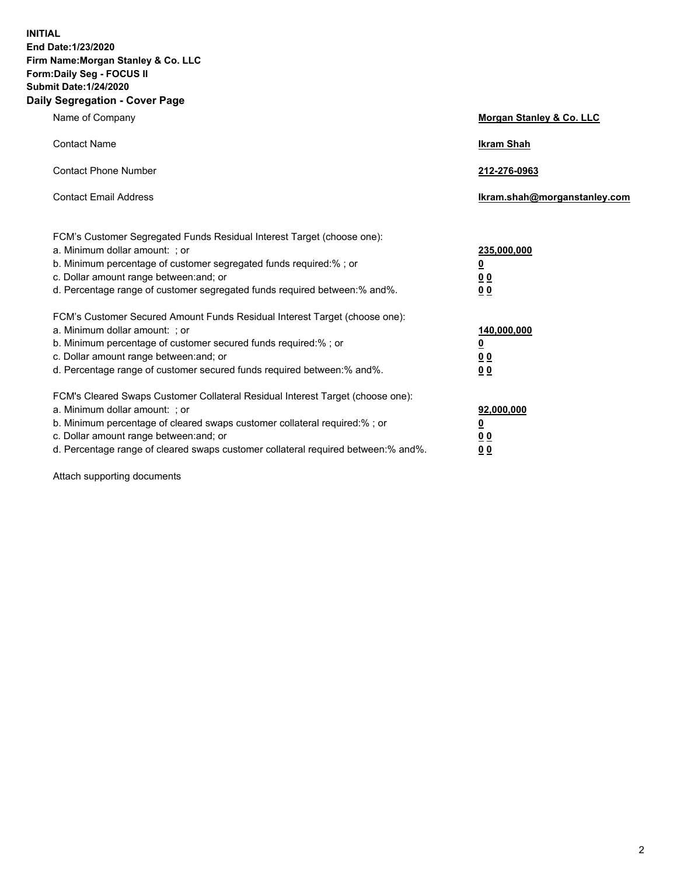**INITIAL End Date:1/23/2020 Firm Name:Morgan Stanley & Co. LLC Form:Daily Seg - FOCUS II Submit Date:1/24/2020 Daily Segregation - Cover Page**

| Name of Company                                                                                                                                                                                                                                                                                                                | Morgan Stanley & Co. LLC                               |
|--------------------------------------------------------------------------------------------------------------------------------------------------------------------------------------------------------------------------------------------------------------------------------------------------------------------------------|--------------------------------------------------------|
| <b>Contact Name</b>                                                                                                                                                                                                                                                                                                            | <b>Ikram Shah</b>                                      |
| <b>Contact Phone Number</b>                                                                                                                                                                                                                                                                                                    | 212-276-0963                                           |
| <b>Contact Email Address</b>                                                                                                                                                                                                                                                                                                   | lkram.shah@morganstanley.com                           |
| FCM's Customer Segregated Funds Residual Interest Target (choose one):<br>a. Minimum dollar amount: ; or<br>b. Minimum percentage of customer segregated funds required:% ; or<br>c. Dollar amount range between: and; or<br>d. Percentage range of customer segregated funds required between:% and%.                         | 235,000,000<br><u>0</u><br><u>00</u><br>0 <sub>0</sub> |
| FCM's Customer Secured Amount Funds Residual Interest Target (choose one):<br>a. Minimum dollar amount: ; or<br>b. Minimum percentage of customer secured funds required:% ; or<br>c. Dollar amount range between: and; or<br>d. Percentage range of customer secured funds required between:% and%.                           | 140,000,000<br><u>0</u><br>0 <sub>0</sub><br>00        |
| FCM's Cleared Swaps Customer Collateral Residual Interest Target (choose one):<br>a. Minimum dollar amount: ; or<br>b. Minimum percentage of cleared swaps customer collateral required:% ; or<br>c. Dollar amount range between: and; or<br>d. Percentage range of cleared swaps customer collateral required between:% and%. | 92,000,000<br><u>0</u><br><u>00</u><br>00              |

Attach supporting documents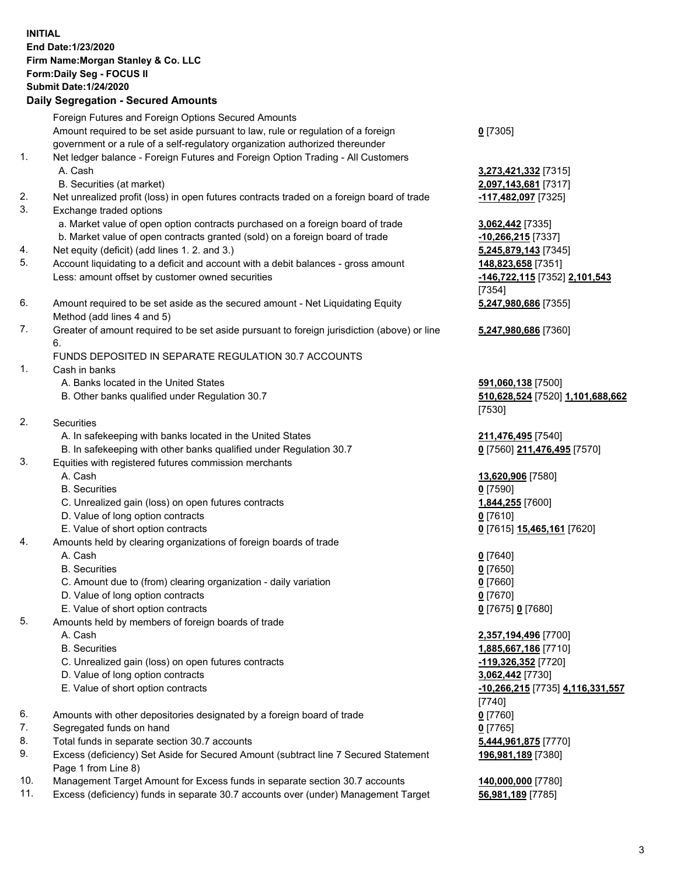## **INITIAL End Date:1/23/2020 Firm Name:Morgan Stanley & Co. LLC Form:Daily Seg - FOCUS II Submit Date:1/24/2020 Daily Segregation - Secured Amounts** Foreign Futures and Foreign Options Secured Amounts Amount required to be set aside pursuant to law, rule or regulation of a foreign government or a rule of a self-regulatory organization authorized thereunder **0** [7305] 1. Net ledger balance - Foreign Futures and Foreign Option Trading - All Customers A. Cash **3,273,421,332** [7315] B. Securities (at market) **2,097,143,681** [7317] 2. Net unrealized profit (loss) in open futures contracts traded on a foreign board of trade **-117,482,097** [7325] 3. Exchange traded options a. Market value of open option contracts purchased on a foreign board of trade **3,062,442** [7335] b. Market value of open contracts granted (sold) on a foreign board of trade **-10,266,215** [7337] 4. Net equity (deficit) (add lines 1. 2. and 3.) **5,245,879,143** [7345] 5. Account liquidating to a deficit and account with a debit balances - gross amount **148,823,658** [7351] Less: amount offset by customer owned securities **-146,722,115** [7352] **2,101,543** 6. Amount required to be set aside as the secured amount - Net Liquidating Equity Method (add lines 4 and 5) 7. Greater of amount required to be set aside pursuant to foreign jurisdiction (above) or line 6. FUNDS DEPOSITED IN SEPARATE REGULATION 30.7 ACCOUNTS 1. Cash in banks A. Banks located in the United States **591,060,138** [7500] B. Other banks qualified under Regulation 30.7 **510,628,524** [7520] **1,101,688,662** 2. Securities A. In safekeeping with banks located in the United States **211,476,495** [7540] B. In safekeeping with other banks qualified under Regulation 30.7 **0** [7560] **211,476,495** [7570] 3. Equities with registered futures commission merchants A. Cash **13,620,906** [7580] B. Securities **0** [7590] C. Unrealized gain (loss) on open futures contracts **1,844,255** [7600] D. Value of long option contracts **0** [7610] E. Value of short option contracts **0** [7615] **15,465,161** [7620] 4. Amounts held by clearing organizations of foreign boards of trade A. Cash **0** [7640] B. Securities **0** [7650] C. Amount due to (from) clearing organization - daily variation **0** [7660] D. Value of long option contracts **0** [7670] E. Value of short option contracts **0** [7675] **0** [7680] 5. Amounts held by members of foreign boards of trade A. Cash **2,357,194,496** [7700] B. Securities **1,885,667,186** [7710] C. Unrealized gain (loss) on open futures contracts **-119,326,352** [7720] D. Value of long option contracts **3,062,442** [7730] E. Value of short option contracts **-10,266,215** [7735] **4,116,331,557** 6. Amounts with other depositories designated by a foreign board of trade **0** [7760] 7. Segregated funds on hand **0** [7765]

- 8. Total funds in separate section 30.7 accounts **5,444,961,875** [7770]
- 9. Excess (deficiency) Set Aside for Secured Amount (subtract line 7 Secured Statement Page 1 from Line 8)
- 10. Management Target Amount for Excess funds in separate section 30.7 accounts **140,000,000** [7780]
- 11. Excess (deficiency) funds in separate 30.7 accounts over (under) Management Target **56,981,189** [7785]

[7354] **5,247,980,686** [7355]

**5,247,980,686** [7360]

[7530]

[7740] **196,981,189** [7380]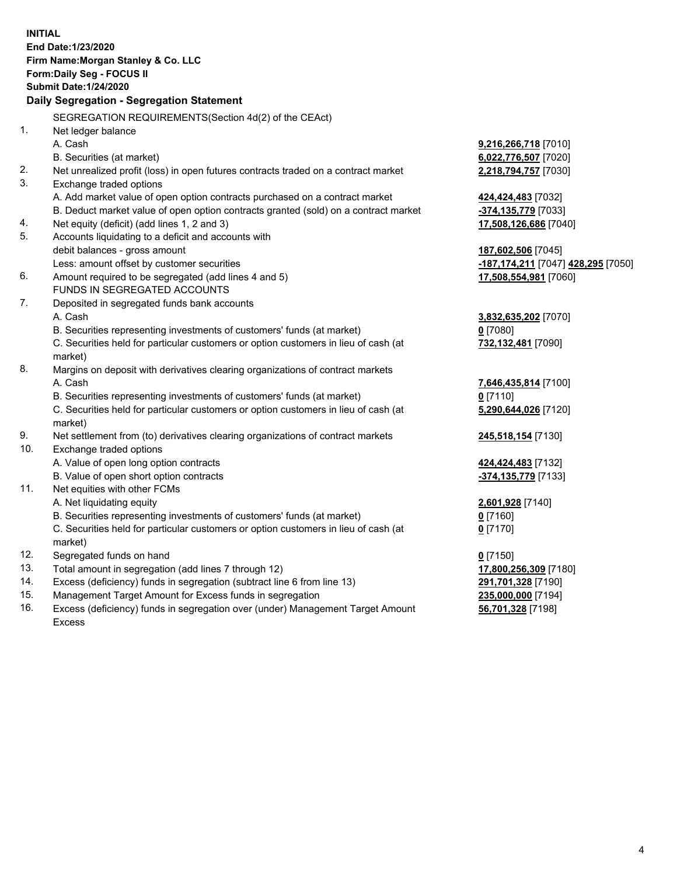|                | <b>INITIAL</b>                                                                                                                      |                                                        |
|----------------|-------------------------------------------------------------------------------------------------------------------------------------|--------------------------------------------------------|
|                | End Date: 1/23/2020                                                                                                                 |                                                        |
|                | Firm Name: Morgan Stanley & Co. LLC                                                                                                 |                                                        |
|                | Form: Daily Seg - FOCUS II                                                                                                          |                                                        |
|                | <b>Submit Date: 1/24/2020</b>                                                                                                       |                                                        |
|                | Daily Segregation - Segregation Statement                                                                                           |                                                        |
|                | SEGREGATION REQUIREMENTS(Section 4d(2) of the CEAct)                                                                                |                                                        |
| 1 <sub>1</sub> | Net ledger balance                                                                                                                  |                                                        |
|                | A. Cash                                                                                                                             | 9,216,266,718 [7010]                                   |
|                | B. Securities (at market)                                                                                                           | 6,022,776,507 [7020]                                   |
| 2.             | Net unrealized profit (loss) in open futures contracts traded on a contract market                                                  | 2,218,794,757 [7030]                                   |
| 3.             | Exchange traded options                                                                                                             |                                                        |
|                | A. Add market value of open option contracts purchased on a contract market                                                         | 424,424,483 [7032]                                     |
|                | B. Deduct market value of open option contracts granted (sold) on a contract market                                                 | -374,135,779 [7033]                                    |
| 4.             | Net equity (deficit) (add lines 1, 2 and 3)                                                                                         | 17,508,126,686 [7040]                                  |
| 5.             | Accounts liquidating to a deficit and accounts with                                                                                 |                                                        |
|                | debit balances - gross amount                                                                                                       | 187,602,506 [7045]                                     |
|                | Less: amount offset by customer securities                                                                                          | <mark>-187,174,211</mark> [7047] <b>428,295</b> [7050] |
| 6.             | Amount required to be segregated (add lines 4 and 5)                                                                                | 17,508,554,981 [7060]                                  |
|                | FUNDS IN SEGREGATED ACCOUNTS                                                                                                        |                                                        |
| 7.             | Deposited in segregated funds bank accounts                                                                                         |                                                        |
|                | A. Cash                                                                                                                             | 3,832,635,202 [7070]                                   |
|                | B. Securities representing investments of customers' funds (at market)                                                              | $0$ [7080]                                             |
|                | C. Securities held for particular customers or option customers in lieu of cash (at                                                 | 732,132,481 [7090]                                     |
|                | market)                                                                                                                             |                                                        |
| 8.             | Margins on deposit with derivatives clearing organizations of contract markets                                                      |                                                        |
|                | A. Cash                                                                                                                             | 7,646,435,814 [7100]                                   |
|                | B. Securities representing investments of customers' funds (at market)                                                              | $0$ [7110]                                             |
|                | C. Securities held for particular customers or option customers in lieu of cash (at                                                 | 5,290,644,026 [7120]                                   |
|                | market)                                                                                                                             |                                                        |
| 9.             | Net settlement from (to) derivatives clearing organizations of contract markets                                                     | 245,518,154 [7130]                                     |
| 10.            | Exchange traded options                                                                                                             |                                                        |
|                | A. Value of open long option contracts                                                                                              | 424,424,483 [7132]                                     |
|                | B. Value of open short option contracts                                                                                             | -374,135,779 [7133]                                    |
| 11.            | Net equities with other FCMs                                                                                                        |                                                        |
|                | A. Net liquidating equity                                                                                                           | 2,601,928 [7140]                                       |
|                | B. Securities representing investments of customers' funds (at market)                                                              | 0[7160]                                                |
|                | C. Securities held for particular customers or option customers in lieu of cash (at                                                 | $0$ [7170]                                             |
|                | market)                                                                                                                             |                                                        |
| 12.            | Segregated funds on hand                                                                                                            | $0$ [7150]                                             |
| 13.            | Total amount in segregation (add lines 7 through 12)                                                                                | 17,800,256,309 [7180]                                  |
| 14.<br>15.     | Excess (deficiency) funds in segregation (subtract line 6 from line 13)<br>Management Target Amount for Excess funds in segregation | 291,701,328 [7190]                                     |
| 16.            | Excess (deficiency) funds in segregation over (under) Management Target Amount                                                      | 235,000,000 [7194]                                     |
|                |                                                                                                                                     | 56,701,328 [7198]                                      |

16. Excess (deficiency) funds in segregation over (under) Management Target Amount Excess